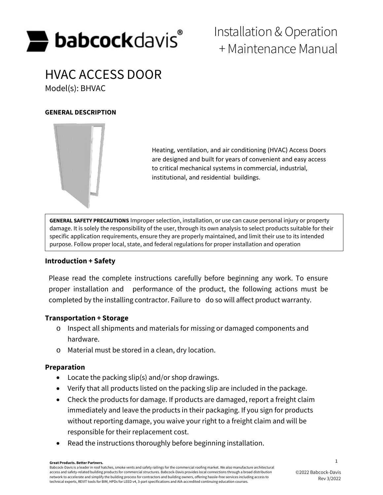

Installation &Operation + Maintenance Manual

# HVAC ACCESS DOOR Model(s): BHVAC

## **GENERAL DESCRIPTION**



Heating, ventilation, and air conditioning (HVAC) Access Doors are designed and built for years of convenient and easy access to critical mechanical systems in commercial, industrial, institutional, and residential buildings.

**GENERAL SAFETY PRECAUTIONS** Improper selection, installation, or use can cause personal injury or property damage. It is solely the responsibility of the user, through its own analysis to select products suitable for their specific application requirements, ensure they are properly maintained, and limit their use to its intended purpose. Follow proper local, state, and federal regulations for proper installation and operation

# **Introduction + Safety**

Please read the complete instructions carefully before beginning any work. To ensure proper installation and performance of the product, the following actions must be completed by the installing contractor. Failure to do so will affect product warranty.

#### **Transportation + Storage**

- o Inspect all shipments and materials for missing or damaged components and hardware.
- o Material must be stored in a clean, dry location.

#### **Preparation**

- Locate the packing slip(s) and/or shop drawings.
- Verify that all products listed on the packing slip are included in the package.
- Check the products for damage. If products are damaged, report a freight claim immediately and leave the products in their packaging. If you sign for products without reporting damage, you waive your right to a freight claim and will be responsible for their replacement cost.
- Read the instructions thoroughly before beginning installation.

Babcock-Davis is a leader in roof hatches, smoke vents and safety railings for the commercial roofing market. We also manufacture architectural access and safety-related building products for commercial structures. Babcock-Davis provides local connections through a broad distribution network to accelerate and simplify the building process for contractors and building owners, offering hassle-free services including access to technical experts, REVIT tools for BIM, HPDs for LEED v4, 3-part specifications and AIA-accredited continuing education courses.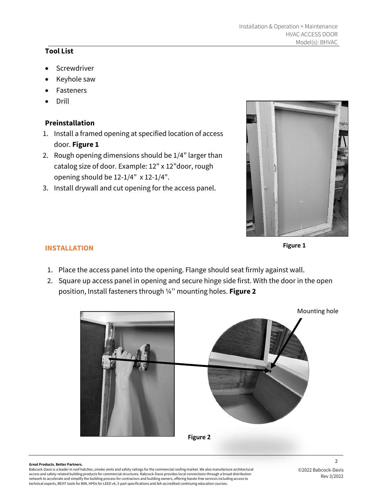# **Tool List**

- **Screwdriver**
- Keyhole saw
- **Fasteners**
- Drill

# **Preinstallation**

- 1. Install a framed opening at specified location of access door. **Figure 1**
- 2. Rough opening dimensions should be 1/4" larger than catalog size of door. Example: 12" x 12"door, rough opening should be 12-1/4" x 12-1/4".
- 3. Install drywall and cut opening for the access panel.



**Figure 1**

# **INSTALLATION**

- 1. Place the access panel into the opening. Flange should seat firmly against wall.
- 2. Square up access panel in opening and secure hinge side first. With the door in the open position, Install fasteners through ¼'' mounting holes. **Figure 2**



#### **Great Products. Better Partners.** <sup>2</sup> **Great Products. Better Partners.**

Babcock-Davis is a leader in roof hatches, smoke vents and safety railings for the commercial roofing market. We also manufacture architectural access and safety-related building products for commercial structures. Babcock-Davis provides local connections through a broad distribution network to accelerate and simplify the building process for contractors and building owners, offering hassle-free services including access to technical experts, REVIT tools for BIM, HPDs for LEED v4, 3-part specifications and AIA-accredited continuing education courses.